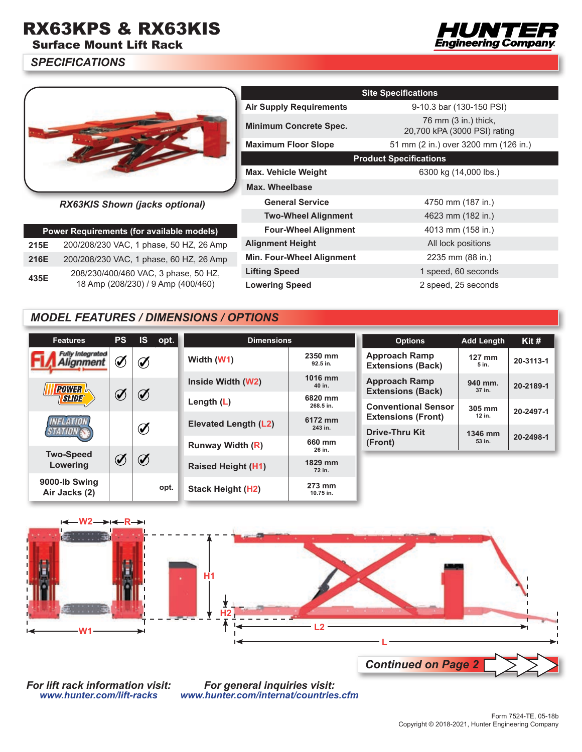## RX63KPS & RX63KIS

Surface Mount Lift Rack

*SPECIFICATIONS*





*RX63KIS Shown (jacks optional)*

| Power Requirements (for available models) |                                                                            |  |  |  |  |  |
|-------------------------------------------|----------------------------------------------------------------------------|--|--|--|--|--|
| 215E                                      | 200/208/230 VAC, 1 phase, 50 HZ, 26 Amp                                    |  |  |  |  |  |
| 216E                                      | 200/208/230 VAC, 1 phase, 60 HZ, 26 Amp                                    |  |  |  |  |  |
| 435E                                      | 208/230/400/460 VAC, 3 phase, 50 HZ,<br>18 Amp (208/230) / 9 Amp (400/460) |  |  |  |  |  |

|                                  | <b>Site Specifications</b>                           |
|----------------------------------|------------------------------------------------------|
| <b>Air Supply Requirements</b>   | 9-10.3 bar (130-150 PSI)                             |
| <b>Minimum Concrete Spec.</b>    | 76 mm (3 in.) thick,<br>20,700 kPA (3000 PSI) rating |
| <b>Maximum Floor Slope</b>       | 51 mm (2 in.) over 3200 mm (126 in.)                 |
|                                  | <b>Product Specifications</b>                        |
| <b>Max. Vehicle Weight</b>       | 6300 kg (14,000 lbs.)                                |
| Max. Wheelbase                   |                                                      |
| <b>General Service</b>           | 4750 mm (187 in.)                                    |
| <b>Two-Wheel Alignment</b>       | 4623 mm (182 in.)                                    |
| <b>Four-Wheel Alignment</b>      | 4013 mm (158 in.)                                    |
| <b>Alignment Height</b>          | All lock positions                                   |
| <b>Min. Four-Wheel Alignment</b> | 2235 mm (88 in.)                                     |
| <b>Lifting Speed</b>             | 1 speed, 60 seconds                                  |
| <b>Lowering Speed</b>            | 2 speed, 25 seconds                                  |

## *MODEL FEATURES / DIMENSIONS / OPTIONS*

| <b>Features</b>                | <b>PS</b>        | <b>IS</b>   | opt. | <b>Dimensions</b>         |                      | <b>Options</b>                                   | <b>Add Length</b> | Kit #     |
|--------------------------------|------------------|-------------|------|---------------------------|----------------------|--------------------------------------------------|-------------------|-----------|
| Fully Integrated<br>anment     | Í                | Í           |      | Width (W1)                | 2350 mm<br>92.5 in.  | <b>Approach Ramp</b><br><b>Extensions (Back)</b> | $127$ mm<br>5 in. | 20-3113-1 |
| <b>POWER</b><br><b>SLIDE®</b>  | Í                | $\emptyset$ |      | Inside Width (W2)         | 1016 mm<br>40 in.    | <b>Approach Ramp</b><br><b>Extensions (Back)</b> | 940 mm.<br>37 in. | 20-2189-1 |
|                                |                  |             |      | Length $(L)$              | 6820 mm<br>268.5 in. | <b>Conventional Sensor</b>                       | 305 mm            | 20-2497-1 |
|                                |                  |             |      | Elevated Length (L2)      | 6172 mm              | <b>Extensions (Front)</b>                        | 12 in.            |           |
|                                |                  |             | Ø    |                           | 243 in.              | <b>Drive-Thru Kit</b>                            | 1346 mm           | 20-2498-1 |
|                                |                  |             |      | <b>Runway Width (R)</b>   | 660 mm<br>26 in.     | (Front)                                          | 53 in.            |           |
| <b>Two-Speed</b><br>Lowering   | $\boldsymbol{Q}$ | $\bigcirc$  |      | <b>Raised Height (H1)</b> | 1829 mm<br>72 in.    |                                                  |                   |           |
| 9000-lb Swing<br>Air Jacks (2) |                  |             | opt. | <b>Stack Height (H2)</b>  | 273 mm<br>10.75 in.  |                                                  |                   |           |



*For lift rack information visit: www.hunter.com/lift-racks*

*For general inquiries visit: www.hunter.com/internat/countries.cfm*